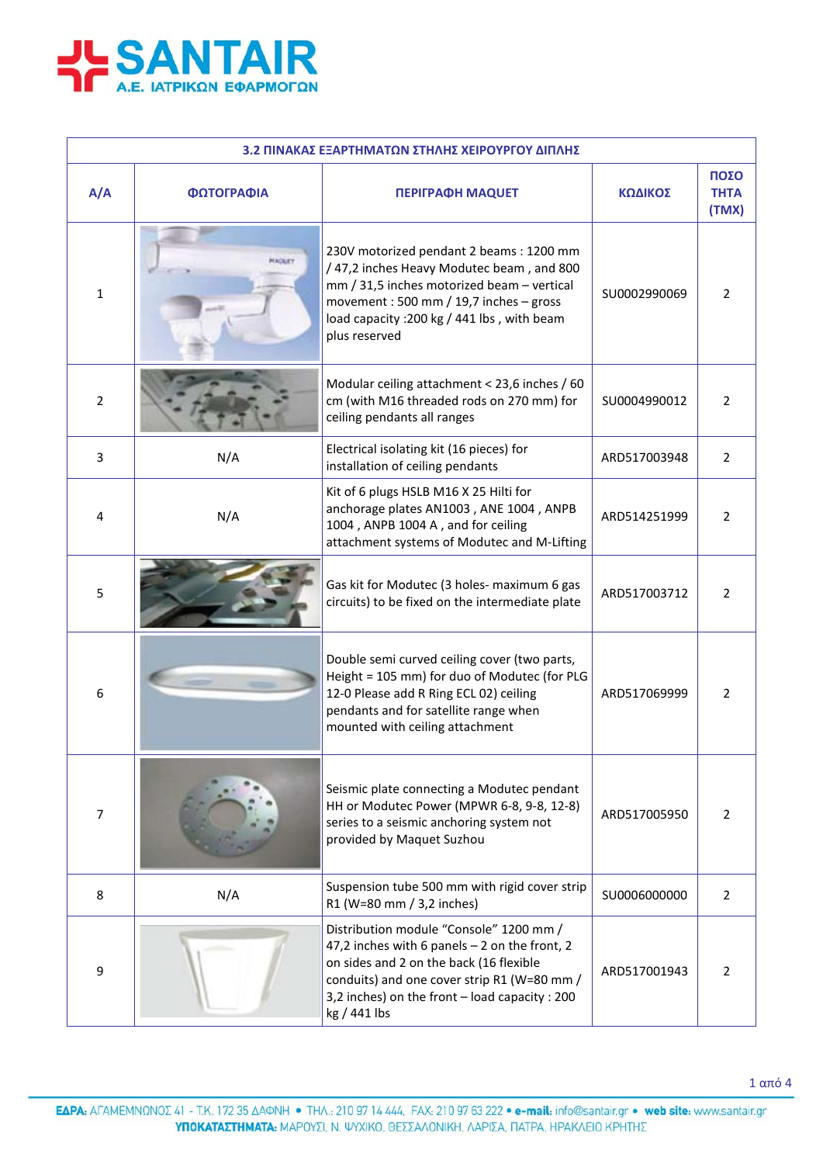

| 3.2 ΠΙΝΑΚΑΣ ΕΞΑΡΤΗΜΑΤΩΝ ΣΤΗΛΗΣ ΧΕΙΡΟΥΡΓΟΥ ΔΙΠΛΗΣ |            |                                                                                                                                                                                                                                                        |              |                              |  |
|--------------------------------------------------|------------|--------------------------------------------------------------------------------------------------------------------------------------------------------------------------------------------------------------------------------------------------------|--------------|------------------------------|--|
| A/A                                              | ΦΩΤΟΓΡΑΦΙΑ | <b>ΠΕΡΙΓΡΑΦΗ ΜΑQUET</b>                                                                                                                                                                                                                                | ΚΩΔΙΚΟΣ      | ΠΟΣΟ<br><b>THTA</b><br>(TMX) |  |
| $\mathbf{1}$                                     | MAGUET     | 230V motorized pendant 2 beams: 1200 mm<br>/47,2 inches Heavy Modutec beam, and 800<br>mm / 31,5 inches motorized beam - vertical<br>movement: 500 mm / 19,7 inches - gross<br>load capacity : 200 kg / 441 lbs, with beam<br>plus reserved            | SU0002990069 | $\overline{2}$               |  |
| 2                                                |            | Modular ceiling attachment < 23,6 inches / 60<br>cm (with M16 threaded rods on 270 mm) for<br>ceiling pendants all ranges                                                                                                                              | SU0004990012 | 2                            |  |
| 3                                                | N/A        | Electrical isolating kit (16 pieces) for<br>installation of ceiling pendants                                                                                                                                                                           | ARD517003948 | $\overline{2}$               |  |
| 4                                                | N/A        | Kit of 6 plugs HSLB M16 X 25 Hilti for<br>anchorage plates AN1003, ANE 1004, ANPB<br>1004, ANPB 1004 A, and for ceiling<br>attachment systems of Modutec and M-Lifting                                                                                 | ARD514251999 | $\overline{2}$               |  |
| 5                                                |            | Gas kit for Modutec (3 holes- maximum 6 gas<br>circuits) to be fixed on the intermediate plate                                                                                                                                                         | ARD517003712 | $\overline{2}$               |  |
| 6                                                | $-22$      | Double semi curved ceiling cover (two parts,<br>Height = 105 mm) for duo of Modutec (for PLG<br>12-0 Please add R Ring ECL 02) ceiling<br>pendants and for satellite range when<br>mounted with ceiling attachment                                     | ARD517069999 | 2                            |  |
| $\overline{7}$                                   |            | Seismic plate connecting a Modutec pendant<br>HH or Modutec Power (MPWR 6-8, 9-8, 12-8)<br>series to a seismic anchoring system not<br>provided by Maquet Suzhou                                                                                       | ARD517005950 | $\overline{2}$               |  |
| 8                                                | N/A        | Suspension tube 500 mm with rigid cover strip<br>R1 (W=80 mm / 3,2 inches)                                                                                                                                                                             | SU0006000000 | $\overline{2}$               |  |
| 9                                                |            | Distribution module "Console" 1200 mm /<br>47,2 inches with 6 panels $-$ 2 on the front, 2<br>on sides and 2 on the back (16 flexible<br>conduits) and one cover strip R1 (W=80 mm /<br>3,2 inches) on the front - load capacity : 200<br>kg / 441 lbs | ARD517001943 | $\overline{2}$               |  |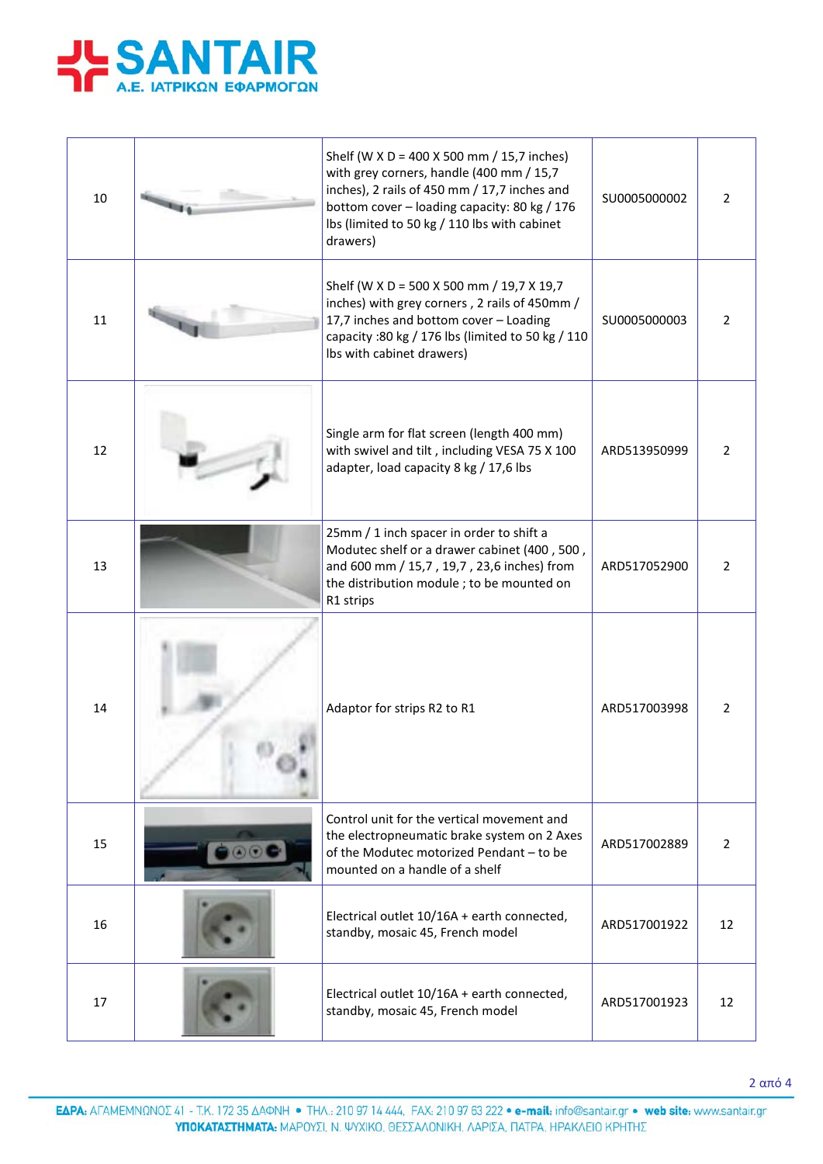

| 10 | Shelf (W X D = 400 X 500 mm / 15,7 inches)<br>with grey corners, handle (400 mm / 15,7<br>inches), 2 rails of 450 mm / 17,7 inches and<br>bottom cover - loading capacity: 80 kg / 176<br>lbs (limited to 50 kg / 110 lbs with cabinet<br>drawers) | SU0005000002 | $\overline{2}$ |
|----|----------------------------------------------------------------------------------------------------------------------------------------------------------------------------------------------------------------------------------------------------|--------------|----------------|
| 11 | Shelf (W X D = 500 X 500 mm / 19,7 X 19,7<br>inches) with grey corners, 2 rails of 450mm /<br>17,7 inches and bottom cover - Loading<br>capacity : 80 kg / 176 lbs (limited to 50 kg / 110<br>Ibs with cabinet drawers)                            | SU0005000003 | $\overline{2}$ |
| 12 | Single arm for flat screen (length 400 mm)<br>with swivel and tilt, including VESA 75 X 100<br>adapter, load capacity 8 kg / 17,6 lbs                                                                                                              | ARD513950999 | 2              |
| 13 | 25mm / 1 inch spacer in order to shift a<br>Modutec shelf or a drawer cabinet (400, 500,<br>and 600 mm / 15,7, 19,7, 23,6 inches) from<br>the distribution module ; to be mounted on<br>R1 strips                                                  | ARD517052900 | 2              |
| 14 | Adaptor for strips R2 to R1                                                                                                                                                                                                                        | ARD517003998 | 2              |
| 15 | Control unit for the vertical movement and<br>the electropneumatic brake system on 2 Axes<br>of the Modutec motorized Pendant - to be<br>mounted on a handle of a shelf                                                                            | ARD517002889 | $\overline{2}$ |
| 16 | Electrical outlet 10/16A + earth connected,<br>standby, mosaic 45, French model                                                                                                                                                                    | ARD517001922 | 12             |
| 17 | Electrical outlet 10/16A + earth connected,<br>standby, mosaic 45, French model                                                                                                                                                                    | ARD517001923 | 12             |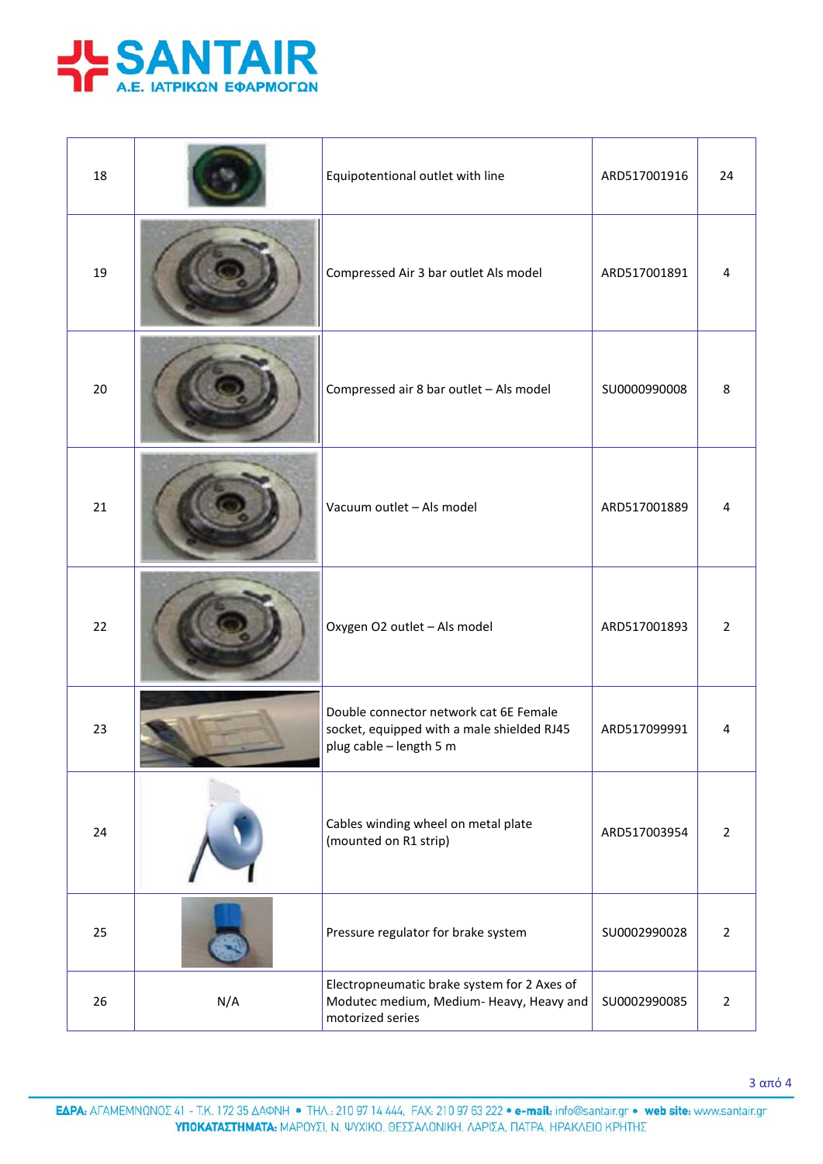

| 18 |     | Equipotentional outlet with line                                                                                | ARD517001916 | 24             |
|----|-----|-----------------------------------------------------------------------------------------------------------------|--------------|----------------|
| 19 |     | Compressed Air 3 bar outlet Als model                                                                           | ARD517001891 | 4              |
| 20 |     | Compressed air 8 bar outlet - Als model                                                                         | SU0000990008 | 8              |
| 21 |     | Vacuum outlet - Als model                                                                                       | ARD517001889 | 4              |
| 22 |     | Oxygen O2 outlet - Als model                                                                                    | ARD517001893 | $\overline{2}$ |
| 23 |     | Double connector network cat 6E Female<br>socket, equipped with a male shielded RJ45<br>plug cable - length 5 m | ARD517099991 | 4              |
| 24 |     | Cables winding wheel on metal plate<br>(mounted on R1 strip)                                                    | ARD517003954 | $\overline{2}$ |
| 25 |     | Pressure regulator for brake system                                                                             | SU0002990028 | $\overline{2}$ |
| 26 | N/A | Electropneumatic brake system for 2 Axes of<br>Modutec medium, Medium-Heavy, Heavy and<br>motorized series      | SU0002990085 | $\overline{2}$ |